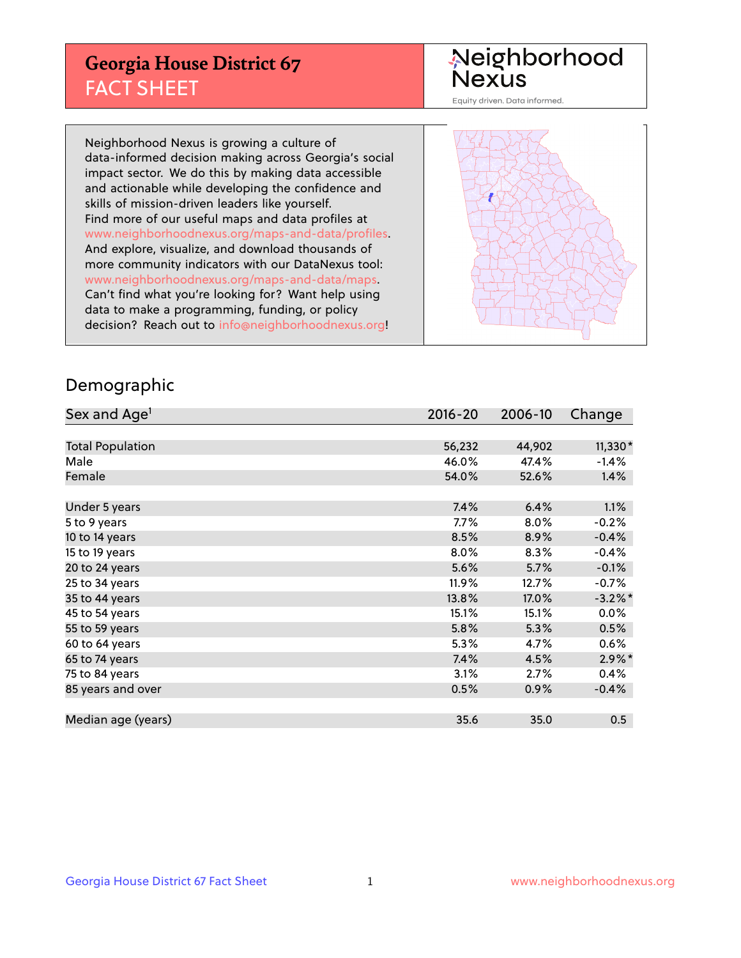## **Georgia House District 67** FACT SHEET

# Neighborhood<br>Nexus

Equity driven. Data informed.

Neighborhood Nexus is growing a culture of data-informed decision making across Georgia's social impact sector. We do this by making data accessible and actionable while developing the confidence and skills of mission-driven leaders like yourself. Find more of our useful maps and data profiles at www.neighborhoodnexus.org/maps-and-data/profiles. And explore, visualize, and download thousands of more community indicators with our DataNexus tool: www.neighborhoodnexus.org/maps-and-data/maps. Can't find what you're looking for? Want help using data to make a programming, funding, or policy decision? Reach out to [info@neighborhoodnexus.org!](mailto:info@neighborhoodnexus.org)



### Demographic

| Sex and Age <sup>1</sup> | $2016 - 20$ | 2006-10 | Change     |
|--------------------------|-------------|---------|------------|
|                          |             |         |            |
| <b>Total Population</b>  | 56,232      | 44,902  | 11,330*    |
| Male                     | 46.0%       | 47.4%   | $-1.4%$    |
| Female                   | 54.0%       | 52.6%   | 1.4%       |
|                          |             |         |            |
| Under 5 years            | 7.4%        | 6.4%    | 1.1%       |
| 5 to 9 years             | $7.7\%$     | 8.0%    | $-0.2%$    |
| 10 to 14 years           | 8.5%        | 8.9%    | $-0.4%$    |
| 15 to 19 years           | 8.0%        | 8.3%    | $-0.4%$    |
| 20 to 24 years           | 5.6%        | 5.7%    | $-0.1%$    |
| 25 to 34 years           | 11.9%       | 12.7%   | $-0.7%$    |
| 35 to 44 years           | 13.8%       | 17.0%   | $-3.2\%$ * |
| 45 to 54 years           | 15.1%       | 15.1%   | $0.0\%$    |
| 55 to 59 years           | 5.8%        | 5.3%    | 0.5%       |
| 60 to 64 years           | 5.3%        | 4.7%    | 0.6%       |
| 65 to 74 years           | 7.4%        | 4.5%    | $2.9\%$ *  |
| 75 to 84 years           | 3.1%        | 2.7%    | 0.4%       |
| 85 years and over        | 0.5%        | 0.9%    | $-0.4%$    |
|                          |             |         |            |
| Median age (years)       | 35.6        | 35.0    | 0.5        |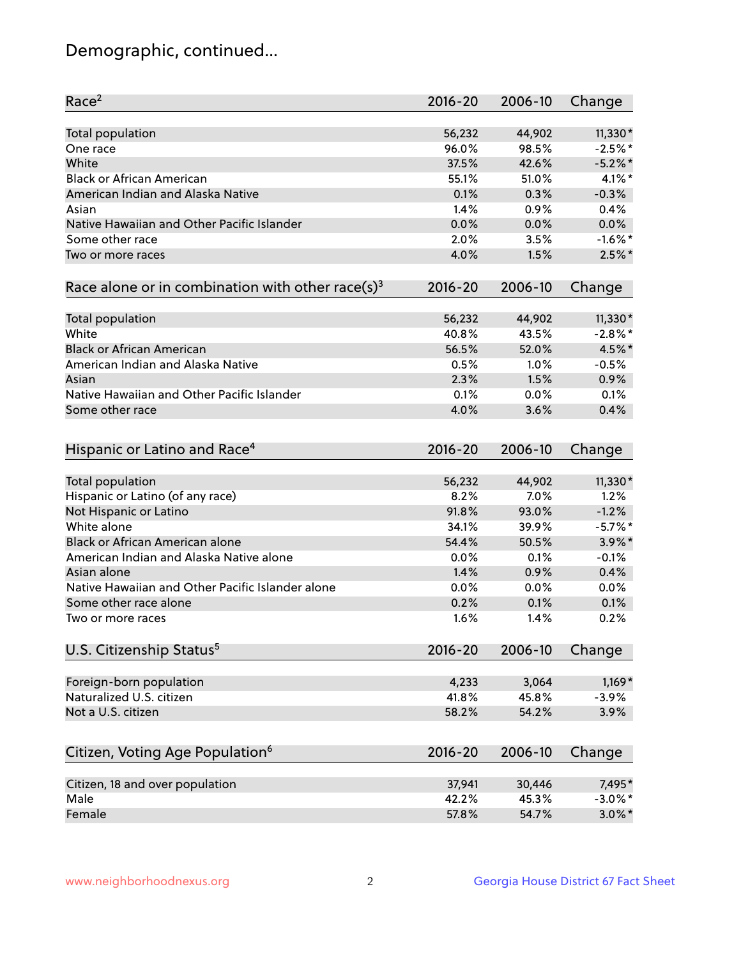## Demographic, continued...

| Race <sup>2</sup>                                            | $2016 - 20$ | 2006-10 | Change     |
|--------------------------------------------------------------|-------------|---------|------------|
| <b>Total population</b>                                      | 56,232      | 44,902  | $11,330*$  |
| One race                                                     | 96.0%       | 98.5%   | $-2.5%$ *  |
| White                                                        | 37.5%       | 42.6%   | $-5.2\%$ * |
| <b>Black or African American</b>                             | 55.1%       | 51.0%   | 4.1%*      |
| American Indian and Alaska Native                            | 0.1%        | 0.3%    | $-0.3%$    |
| Asian                                                        | 1.4%        | 0.9%    | 0.4%       |
| Native Hawaiian and Other Pacific Islander                   | 0.0%        | 0.0%    | 0.0%       |
| Some other race                                              | 2.0%        | 3.5%    | $-1.6\%$ * |
| Two or more races                                            | 4.0%        | 1.5%    | $2.5\%$ *  |
| Race alone or in combination with other race(s) <sup>3</sup> | $2016 - 20$ | 2006-10 | Change     |
| Total population                                             | 56,232      | 44,902  | $11,330*$  |
| White                                                        | 40.8%       | 43.5%   | $-2.8\%$ * |
| <b>Black or African American</b>                             | 56.5%       | 52.0%   | 4.5%*      |
| American Indian and Alaska Native                            | 0.5%        | 1.0%    | $-0.5%$    |
| Asian                                                        | 2.3%        | 1.5%    | 0.9%       |
| Native Hawaiian and Other Pacific Islander                   | 0.1%        | 0.0%    | 0.1%       |
| Some other race                                              | 4.0%        | 3.6%    | 0.4%       |
| Hispanic or Latino and Race <sup>4</sup>                     | $2016 - 20$ | 2006-10 | Change     |
| <b>Total population</b>                                      | 56,232      | 44,902  | $11,330*$  |
| Hispanic or Latino (of any race)                             | 8.2%        | 7.0%    | 1.2%       |
| Not Hispanic or Latino                                       | 91.8%       | 93.0%   | $-1.2%$    |
| White alone                                                  | 34.1%       | 39.9%   | $-5.7\%$ * |
| <b>Black or African American alone</b>                       | 54.4%       | 50.5%   | $3.9\%$ *  |
| American Indian and Alaska Native alone                      | 0.0%        | 0.1%    | $-0.1%$    |
| Asian alone                                                  | 1.4%        | 0.9%    | 0.4%       |
| Native Hawaiian and Other Pacific Islander alone             | 0.0%        | 0.0%    | 0.0%       |
| Some other race alone                                        | 0.2%        | 0.1%    | 0.1%       |
| Two or more races                                            | 1.6%        | 1.4%    | 0.2%       |
| U.S. Citizenship Status <sup>5</sup>                         | 2016-20     | 2006-10 | Change     |
|                                                              |             |         |            |
| Foreign-born population                                      | 4,233       | 3,064   | $1,169*$   |
| Naturalized U.S. citizen                                     | 41.8%       | 45.8%   | $-3.9%$    |
| Not a U.S. citizen                                           | 58.2%       | 54.2%   | 3.9%       |
| Citizen, Voting Age Population <sup>6</sup>                  | $2016 - 20$ | 2006-10 | Change     |
| Citizen, 18 and over population                              | 37,941      | 30,446  | 7,495*     |
| Male                                                         | 42.2%       | 45.3%   | $-3.0\%$ * |
| Female                                                       | 57.8%       | 54.7%   | $3.0\%$ *  |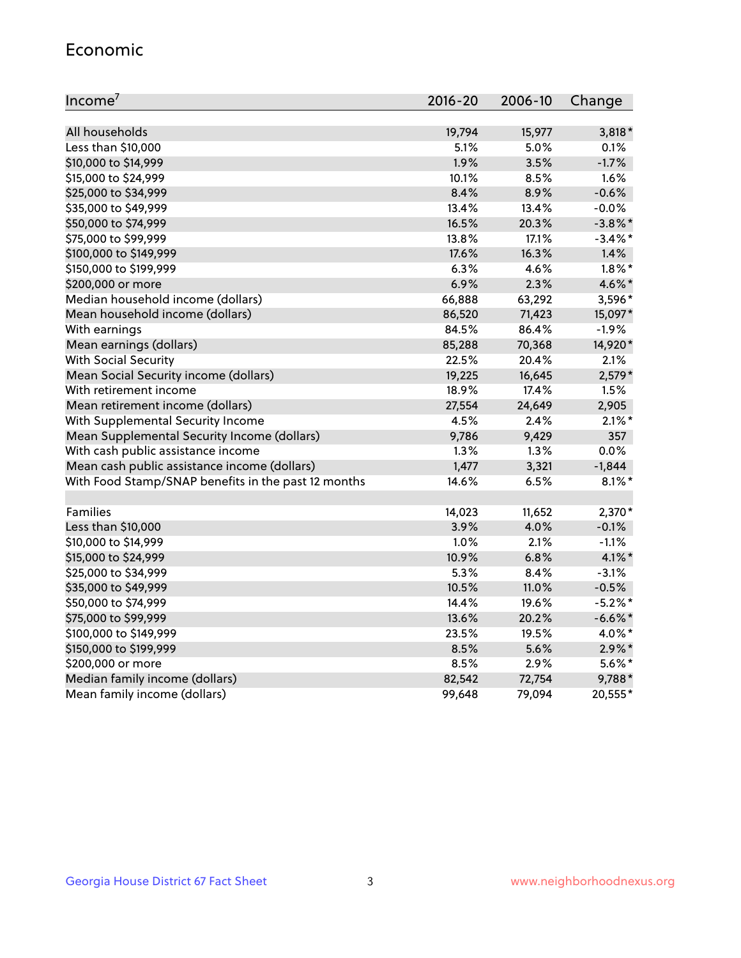#### Economic

| Income <sup>7</sup>                                 | $2016 - 20$ | 2006-10 | Change     |
|-----------------------------------------------------|-------------|---------|------------|
|                                                     |             |         |            |
| All households                                      | 19,794      | 15,977  | $3,818*$   |
| Less than \$10,000                                  | 5.1%        | 5.0%    | 0.1%       |
| \$10,000 to \$14,999                                | 1.9%        | 3.5%    | $-1.7%$    |
| \$15,000 to \$24,999                                | 10.1%       | 8.5%    | 1.6%       |
| \$25,000 to \$34,999                                | 8.4%        | 8.9%    | $-0.6%$    |
| \$35,000 to \$49,999                                | 13.4%       | 13.4%   | $-0.0%$    |
| \$50,000 to \$74,999                                | 16.5%       | 20.3%   | $-3.8\%$ * |
| \$75,000 to \$99,999                                | 13.8%       | 17.1%   | $-3.4\%$ * |
| \$100,000 to \$149,999                              | 17.6%       | 16.3%   | 1.4%       |
| \$150,000 to \$199,999                              | 6.3%        | 4.6%    | $1.8\%$ *  |
| \$200,000 or more                                   | 6.9%        | 2.3%    | 4.6%*      |
| Median household income (dollars)                   | 66,888      | 63,292  | 3,596*     |
| Mean household income (dollars)                     | 86,520      | 71,423  | 15,097*    |
| With earnings                                       | 84.5%       | 86.4%   | $-1.9%$    |
| Mean earnings (dollars)                             | 85,288      | 70,368  | 14,920*    |
| <b>With Social Security</b>                         | 22.5%       | 20.4%   | 2.1%       |
| Mean Social Security income (dollars)               | 19,225      | 16,645  | $2,579*$   |
| With retirement income                              | 18.9%       | 17.4%   | 1.5%       |
| Mean retirement income (dollars)                    | 27,554      | 24,649  | 2,905      |
| With Supplemental Security Income                   | 4.5%        | 2.4%    | $2.1\%$ *  |
| Mean Supplemental Security Income (dollars)         | 9,786       | 9,429   | 357        |
| With cash public assistance income                  | 1.3%        | 1.3%    | 0.0%       |
| Mean cash public assistance income (dollars)        | 1,477       | 3,321   | $-1,844$   |
| With Food Stamp/SNAP benefits in the past 12 months | 14.6%       | 6.5%    | $8.1\%$ *  |
|                                                     |             |         |            |
| Families                                            | 14,023      | 11,652  | 2,370*     |
| Less than \$10,000                                  | 3.9%        | 4.0%    | $-0.1%$    |
| \$10,000 to \$14,999                                | 1.0%        | 2.1%    | $-1.1%$    |
| \$15,000 to \$24,999                                | 10.9%       | 6.8%    | $4.1\%$ *  |
| \$25,000 to \$34,999                                | 5.3%        | 8.4%    | $-3.1%$    |
| \$35,000 to \$49,999                                | 10.5%       | 11.0%   | $-0.5%$    |
| \$50,000 to \$74,999                                | 14.4%       | 19.6%   | $-5.2\%$ * |
| \$75,000 to \$99,999                                | 13.6%       | 20.2%   | $-6.6%$ *  |
| \$100,000 to \$149,999                              | 23.5%       | 19.5%   | 4.0%*      |
| \$150,000 to \$199,999                              | 8.5%        | 5.6%    | $2.9\%$ *  |
| \$200,000 or more                                   | 8.5%        | 2.9%    | 5.6%*      |
| Median family income (dollars)                      | 82,542      | 72,754  | 9,788*     |
| Mean family income (dollars)                        | 99,648      | 79,094  | 20,555*    |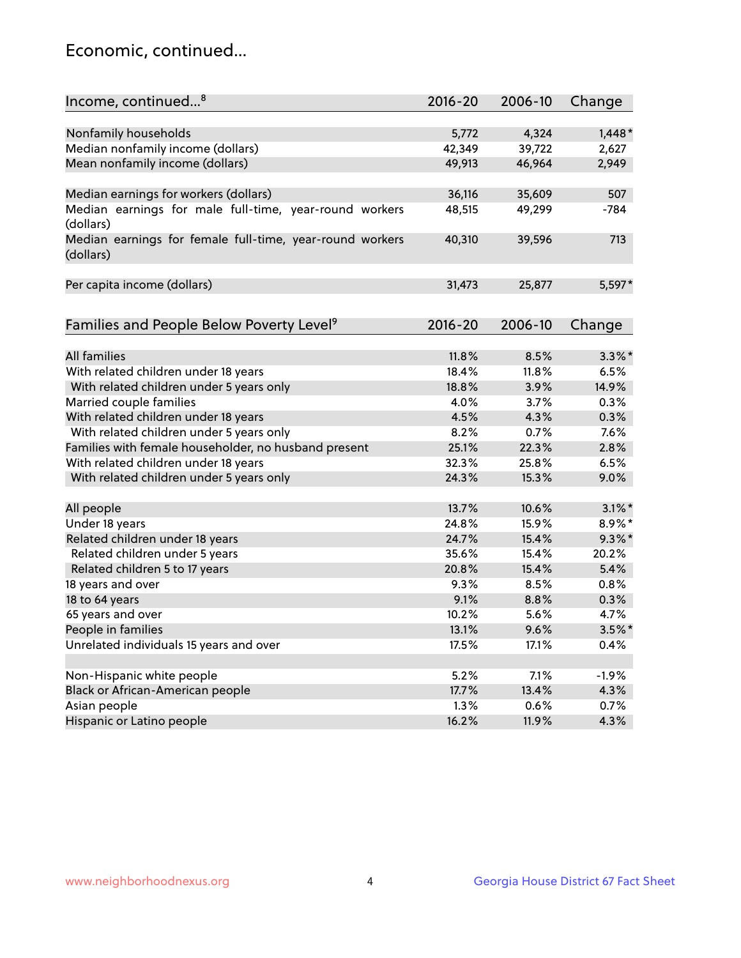## Economic, continued...

| Income, continued <sup>8</sup>                                        | $2016 - 20$ | 2006-10 | Change    |
|-----------------------------------------------------------------------|-------------|---------|-----------|
|                                                                       |             |         |           |
| Nonfamily households                                                  | 5,772       | 4,324   | $1,448*$  |
| Median nonfamily income (dollars)                                     | 42,349      | 39,722  | 2,627     |
| Mean nonfamily income (dollars)                                       | 49,913      | 46,964  | 2,949     |
| Median earnings for workers (dollars)                                 | 36,116      | 35,609  | 507       |
| Median earnings for male full-time, year-round workers                | 48,515      | 49,299  | $-784$    |
| (dollars)                                                             |             |         |           |
| Median earnings for female full-time, year-round workers<br>(dollars) | 40,310      | 39,596  | 713       |
| Per capita income (dollars)                                           | 31,473      | 25,877  | 5,597*    |
|                                                                       |             |         |           |
| Families and People Below Poverty Level <sup>9</sup>                  | 2016-20     | 2006-10 | Change    |
|                                                                       |             |         |           |
| <b>All families</b>                                                   | 11.8%       | 8.5%    | $3.3\%$ * |
| With related children under 18 years                                  | 18.4%       | 11.8%   | 6.5%      |
| With related children under 5 years only                              | 18.8%       | 3.9%    | 14.9%     |
| Married couple families                                               | 4.0%        | 3.7%    | 0.3%      |
| With related children under 18 years                                  | 4.5%        | 4.3%    | 0.3%      |
| With related children under 5 years only                              | 8.2%        | 0.7%    | 7.6%      |
| Families with female householder, no husband present                  | 25.1%       | 22.3%   | 2.8%      |
| With related children under 18 years                                  | 32.3%       | 25.8%   | 6.5%      |
| With related children under 5 years only                              | 24.3%       | 15.3%   | 9.0%      |
| All people                                                            | 13.7%       | 10.6%   | $3.1\%$ * |
| Under 18 years                                                        | 24.8%       | 15.9%   | 8.9%*     |
| Related children under 18 years                                       | 24.7%       | 15.4%   | $9.3\%$ * |
| Related children under 5 years                                        | 35.6%       | 15.4%   | 20.2%     |
| Related children 5 to 17 years                                        | 20.8%       | 15.4%   | 5.4%      |
| 18 years and over                                                     | 9.3%        | 8.5%    | 0.8%      |
| 18 to 64 years                                                        | 9.1%        | 8.8%    | 0.3%      |
| 65 years and over                                                     | 10.2%       | 5.6%    | 4.7%      |
| People in families                                                    | 13.1%       | 9.6%    | $3.5\%$ * |
| Unrelated individuals 15 years and over                               | 17.5%       | 17.1%   | 0.4%      |
|                                                                       |             |         |           |
| Non-Hispanic white people                                             | 5.2%        | 7.1%    | $-1.9%$   |
| Black or African-American people                                      | 17.7%       | 13.4%   | 4.3%      |
| Asian people                                                          | 1.3%        | 0.6%    | 0.7%      |
| Hispanic or Latino people                                             | 16.2%       | 11.9%   | 4.3%      |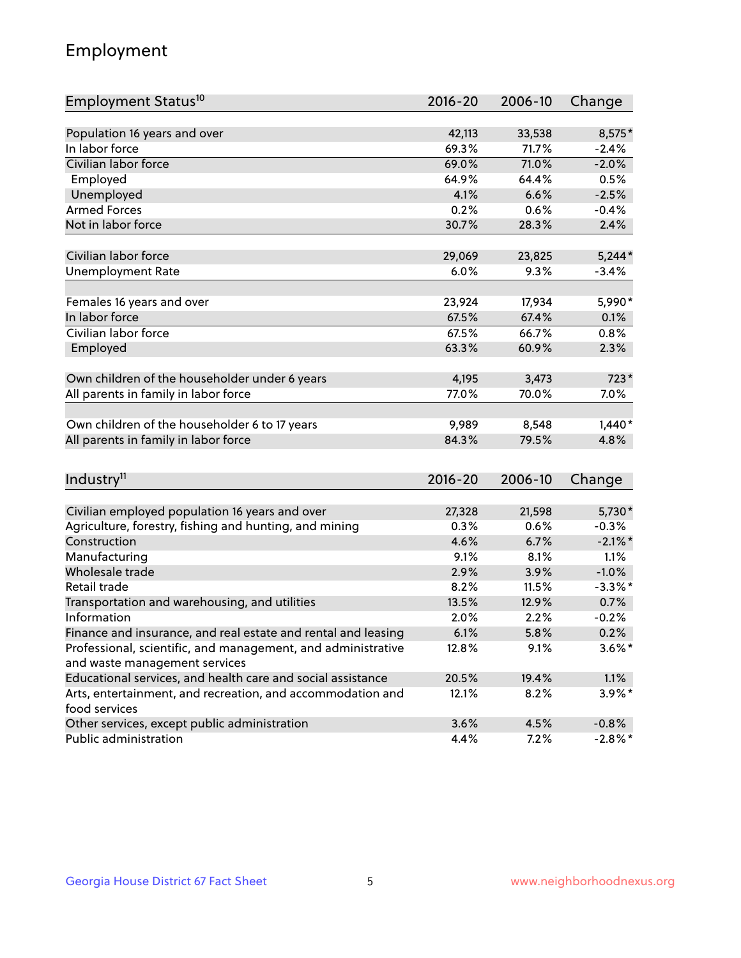## Employment

| Employment Status <sup>10</sup>                                        | $2016 - 20$  | 2006-10        | Change          |
|------------------------------------------------------------------------|--------------|----------------|-----------------|
|                                                                        |              |                |                 |
| Population 16 years and over                                           | 42,113       | 33,538         | 8,575*          |
| In labor force                                                         | 69.3%        | 71.7%          | $-2.4%$         |
| Civilian labor force                                                   | 69.0%        | 71.0%          | $-2.0%$         |
| Employed                                                               | 64.9%        | 64.4%          | 0.5%            |
| Unemployed                                                             | 4.1%         | 6.6%           | $-2.5%$         |
| <b>Armed Forces</b>                                                    | 0.2%         | 0.6%           | $-0.4%$         |
| Not in labor force                                                     | 30.7%        | 28.3%          | 2.4%            |
|                                                                        |              |                |                 |
| Civilian labor force                                                   | 29,069       | 23,825         | $5,244*$        |
| <b>Unemployment Rate</b>                                               | 6.0%         | 9.3%           | $-3.4%$         |
| Females 16 years and over                                              | 23,924       | 17,934         | 5,990*          |
| In labor force                                                         | 67.5%        | 67.4%          | 0.1%            |
| Civilian labor force                                                   | 67.5%        | 66.7%          | 0.8%            |
| Employed                                                               | 63.3%        | 60.9%          | 2.3%            |
|                                                                        |              |                |                 |
| Own children of the householder under 6 years                          | 4,195        | 3,473          | $723*$          |
| All parents in family in labor force                                   | 77.0%        | 70.0%          | 7.0%            |
|                                                                        |              |                |                 |
| Own children of the householder 6 to 17 years                          | 9,989        | 8,548          | $1,440*$        |
| All parents in family in labor force                                   | 84.3%        | 79.5%          | 4.8%            |
|                                                                        |              |                |                 |
| Industry <sup>11</sup>                                                 | 2016-20      | 2006-10        | Change          |
|                                                                        |              |                |                 |
| Civilian employed population 16 years and over                         | 27,328       | 21,598         | 5,730*          |
| Agriculture, forestry, fishing and hunting, and mining<br>Construction | 0.3%<br>4.6% | 0.6%           | $-0.3%$         |
|                                                                        |              | 6.7%           | $-2.1\%$ *      |
| Manufacturing<br>Wholesale trade                                       | 9.1%<br>2.9% | 8.1%<br>3.9%   | 1.1%<br>$-1.0%$ |
| Retail trade                                                           | 8.2%         |                | $-3.3\%$ *      |
|                                                                        | 13.5%        | 11.5%<br>12.9% | 0.7%            |
| Transportation and warehousing, and utilities<br>Information           | 2.0%         | 2.2%           | $-0.2%$         |
| Finance and insurance, and real estate and rental and leasing          | 6.1%         | 5.8%           | 0.2%            |
| Professional, scientific, and management, and administrative           | 12.8%        | 9.1%           | $3.6\%$ *       |
| and waste management services                                          |              |                |                 |
| Educational services, and health care and social assistance            | 20.5%        | 19.4%          | 1.1%            |
| Arts, entertainment, and recreation, and accommodation and             | 12.1%        | 8.2%           | 3.9%*           |
| food services                                                          |              |                |                 |
| Other services, except public administration                           | 3.6%         | 4.5%           | $-0.8%$         |
| Public administration                                                  | 4.4%         | 7.2%           | $-2.8\%$ *      |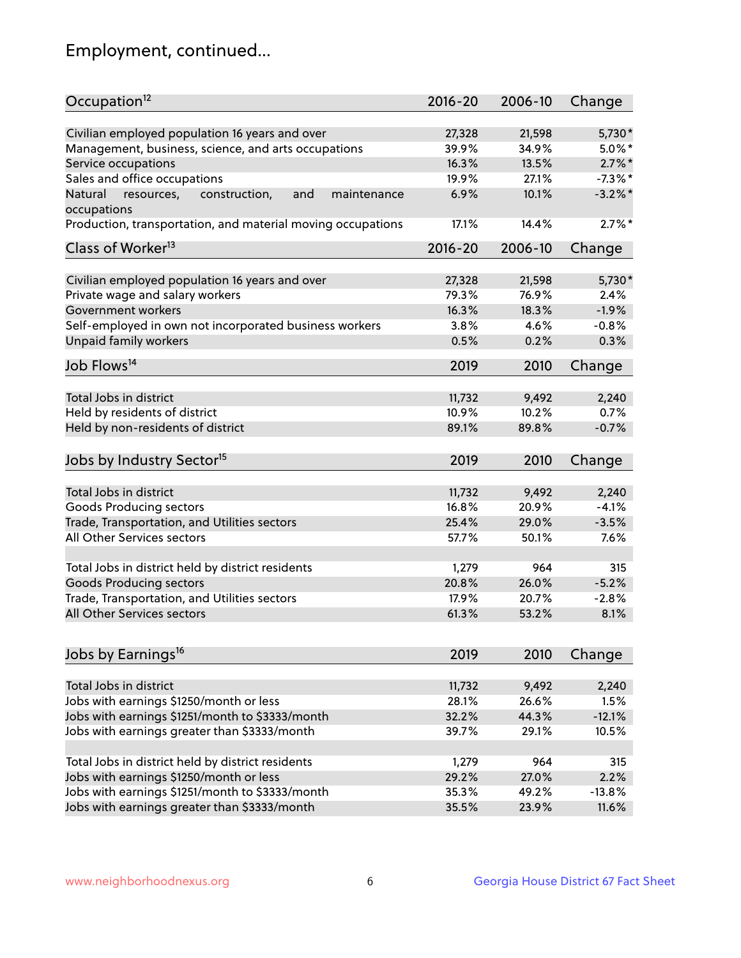## Employment, continued...

| Occupation <sup>12</sup>                                    | $2016 - 20$ | 2006-10 | Change     |
|-------------------------------------------------------------|-------------|---------|------------|
| Civilian employed population 16 years and over              | 27,328      | 21,598  | 5,730*     |
| Management, business, science, and arts occupations         | 39.9%       | 34.9%   | $5.0\%$ *  |
| Service occupations                                         | 16.3%       | 13.5%   | $2.7\%$ *  |
| Sales and office occupations                                | 19.9%       | 27.1%   | $-7.3\%$ * |
| Natural<br>and<br>maintenance                               | 6.9%        | 10.1%   | $-3.2\%$ * |
| resources,<br>construction,<br>occupations                  |             |         |            |
| Production, transportation, and material moving occupations | 17.1%       | 14.4%   | $2.7\%$ *  |
| Class of Worker <sup>13</sup>                               | $2016 - 20$ | 2006-10 | Change     |
| Civilian employed population 16 years and over              | 27,328      | 21,598  | 5,730*     |
| Private wage and salary workers                             | 79.3%       | 76.9%   | 2.4%       |
| Government workers                                          | 16.3%       | 18.3%   | $-1.9%$    |
| Self-employed in own not incorporated business workers      | 3.8%        | 4.6%    | $-0.8%$    |
| Unpaid family workers                                       | 0.5%        | 0.2%    | 0.3%       |
| Job Flows <sup>14</sup>                                     |             |         |            |
|                                                             | 2019        | 2010    | Change     |
| Total Jobs in district                                      | 11,732      | 9,492   | 2,240      |
| Held by residents of district                               | 10.9%       | 10.2%   | 0.7%       |
| Held by non-residents of district                           | 89.1%       | 89.8%   | $-0.7%$    |
| Jobs by Industry Sector <sup>15</sup>                       | 2019        | 2010    | Change     |
| Total Jobs in district                                      | 11,732      | 9,492   | 2,240      |
| Goods Producing sectors                                     | 16.8%       | 20.9%   | $-4.1%$    |
| Trade, Transportation, and Utilities sectors                | 25.4%       | 29.0%   | $-3.5%$    |
| All Other Services sectors                                  | 57.7%       | 50.1%   | 7.6%       |
|                                                             |             |         |            |
| Total Jobs in district held by district residents           | 1,279       | 964     | 315        |
| <b>Goods Producing sectors</b>                              | 20.8%       | 26.0%   | $-5.2%$    |
| Trade, Transportation, and Utilities sectors                | 17.9%       | 20.7%   | $-2.8%$    |
| All Other Services sectors                                  | 61.3%       | 53.2%   | 8.1%       |
|                                                             |             |         |            |
| Jobs by Earnings <sup>16</sup>                              | 2019        | 2010    | Change     |
| Total Jobs in district                                      | 11,732      | 9,492   | 2,240      |
| Jobs with earnings \$1250/month or less                     | 28.1%       | 26.6%   | 1.5%       |
| Jobs with earnings \$1251/month to \$3333/month             | 32.2%       | 44.3%   | $-12.1%$   |
| Jobs with earnings greater than \$3333/month                | 39.7%       | 29.1%   | 10.5%      |
|                                                             |             |         |            |
| Total Jobs in district held by district residents           | 1,279       | 964     | 315        |
| Jobs with earnings \$1250/month or less                     | 29.2%       | 27.0%   | 2.2%       |
| Jobs with earnings \$1251/month to \$3333/month             | 35.3%       | 49.2%   | $-13.8%$   |
| Jobs with earnings greater than \$3333/month                | 35.5%       | 23.9%   | 11.6%      |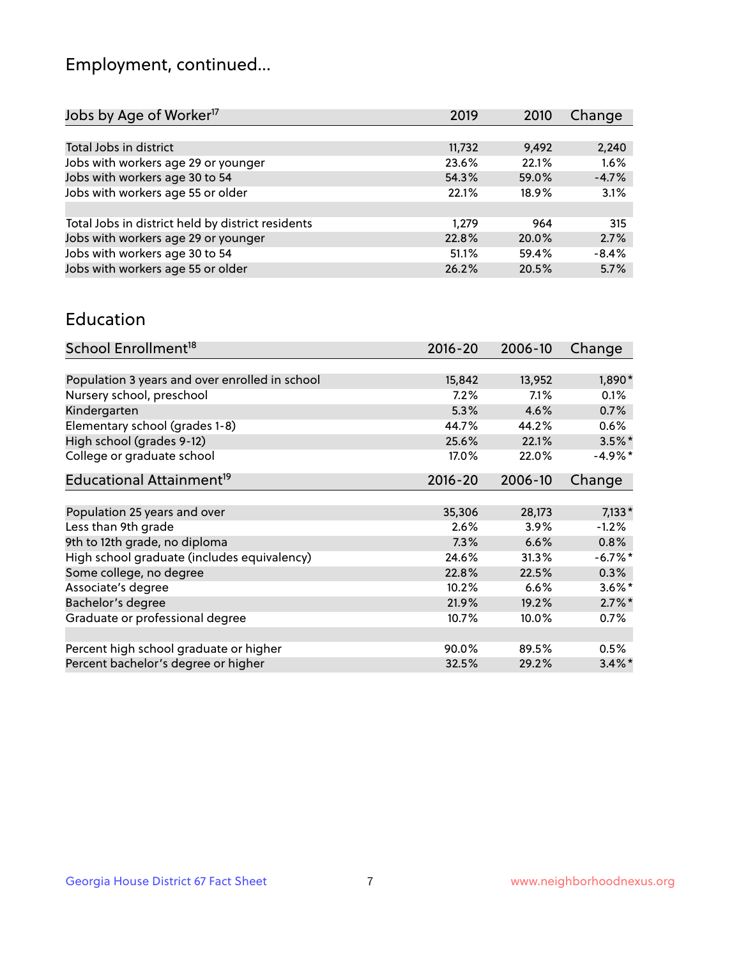## Employment, continued...

| Jobs by Age of Worker <sup>17</sup>               | 2019   | 2010  | Change  |
|---------------------------------------------------|--------|-------|---------|
|                                                   |        |       |         |
| Total Jobs in district                            | 11,732 | 9,492 | 2,240   |
| Jobs with workers age 29 or younger               | 23.6%  | 22.1% | 1.6%    |
| Jobs with workers age 30 to 54                    | 54.3%  | 59.0% | $-4.7%$ |
| Jobs with workers age 55 or older                 | 22.1%  | 18.9% | 3.1%    |
|                                                   |        |       |         |
| Total Jobs in district held by district residents | 1.279  | 964   | 315     |
| Jobs with workers age 29 or younger               | 22.8%  | 20.0% | 2.7%    |
| Jobs with workers age 30 to 54                    | 51.1%  | 59.4% | $-8.4%$ |
| Jobs with workers age 55 or older                 | 26.2%  | 20.5% | 5.7%    |
|                                                   |        |       |         |

#### Education

| School Enrollment <sup>18</sup>                | $2016 - 20$ | 2006-10  | Change     |
|------------------------------------------------|-------------|----------|------------|
|                                                |             |          |            |
| Population 3 years and over enrolled in school | 15,842      | 13,952   | 1,890*     |
| Nursery school, preschool                      | 7.2%        | 7.1%     | 0.1%       |
| Kindergarten                                   | 5.3%        | 4.6%     | 0.7%       |
| Elementary school (grades 1-8)                 | 44.7%       | 44.2%    | 0.6%       |
| High school (grades 9-12)                      | 25.6%       | 22.1%    | $3.5\%$ *  |
| College or graduate school                     | 17.0%       | 22.0%    | $-4.9\%*$  |
| Educational Attainment <sup>19</sup>           | $2016 - 20$ | 2006-10  | Change     |
|                                                |             |          |            |
| Population 25 years and over                   | 35,306      | 28,173   | $7,133*$   |
| Less than 9th grade                            | 2.6%        | 3.9%     | $-1.2%$    |
| 9th to 12th grade, no diploma                  | 7.3%        | 6.6%     | 0.8%       |
| High school graduate (includes equivalency)    | 24.6%       | 31.3%    | $-6.7\%$ * |
| Some college, no degree                        | 22.8%       | 22.5%    | 0.3%       |
| Associate's degree                             | 10.2%       | 6.6%     | $3.6\%$ *  |
| Bachelor's degree                              | 21.9%       | 19.2%    | $2.7\%$ *  |
| Graduate or professional degree                | 10.7%       | $10.0\%$ | 0.7%       |
|                                                |             |          |            |
| Percent high school graduate or higher         | 90.0%       | 89.5%    | $0.5\%$    |
| Percent bachelor's degree or higher            | 32.5%       | 29.2%    | $3.4\%$ *  |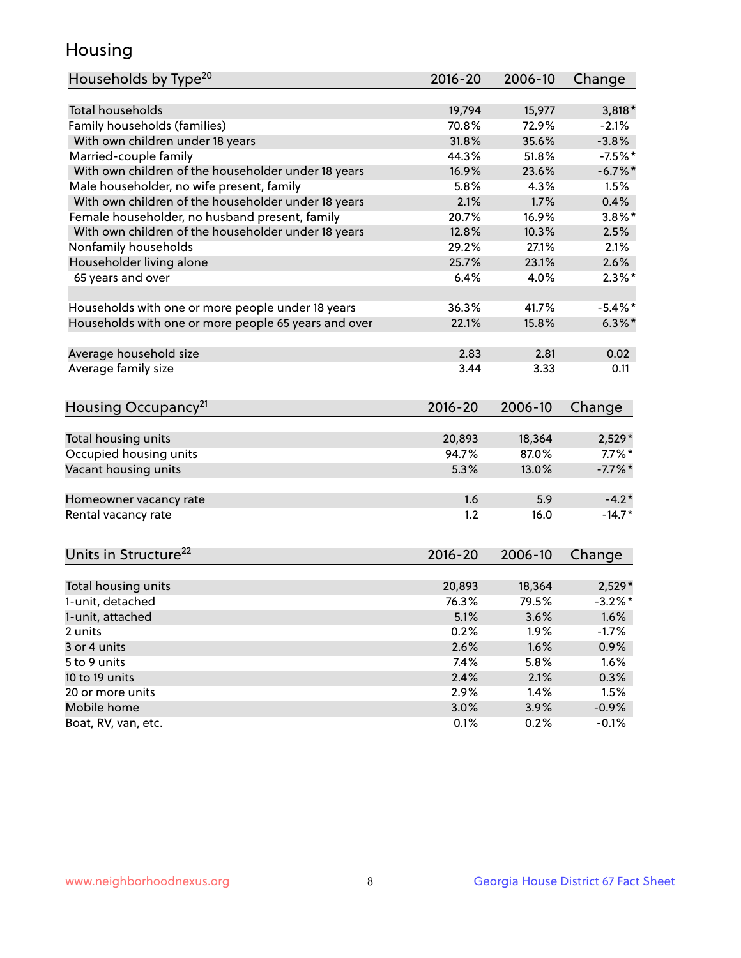## Housing

| Households by Type <sup>20</sup>                     | 2016-20      | 2006-10      | Change              |
|------------------------------------------------------|--------------|--------------|---------------------|
|                                                      |              |              |                     |
| <b>Total households</b>                              | 19,794       | 15,977       | $3,818*$            |
| Family households (families)                         | 70.8%        | 72.9%        | $-2.1%$             |
| With own children under 18 years                     | 31.8%        | 35.6%        | $-3.8%$             |
| Married-couple family                                | 44.3%        | 51.8%        | $-7.5%$ *           |
| With own children of the householder under 18 years  | 16.9%        | 23.6%        | $-6.7\%$ *          |
| Male householder, no wife present, family            | 5.8%         | 4.3%         | 1.5%                |
| With own children of the householder under 18 years  | 2.1%         | 1.7%         | 0.4%                |
| Female householder, no husband present, family       | 20.7%        | 16.9%        | $3.8\%$ *           |
| With own children of the householder under 18 years  | 12.8%        | 10.3%        | 2.5%                |
| Nonfamily households                                 | 29.2%        | 27.1%        | 2.1%                |
| Householder living alone                             | 25.7%        | 23.1%        | 2.6%                |
| 65 years and over                                    | 6.4%         | 4.0%         | $2.3\%$ *           |
|                                                      |              |              |                     |
| Households with one or more people under 18 years    | 36.3%        | 41.7%        | $-5.4\%$ *          |
| Households with one or more people 65 years and over | 22.1%        | 15.8%        | $6.3\%$ *           |
| Average household size                               | 2.83         | 2.81         | 0.02                |
| Average family size                                  | 3.44         | 3.33         | 0.11                |
|                                                      |              |              |                     |
| Housing Occupancy <sup>21</sup>                      | $2016 - 20$  | 2006-10      | Change              |
|                                                      | 20,893       | 18,364       | 2,529*              |
| Total housing units<br>Occupied housing units        | 94.7%        | 87.0%        | $7.7\%$ *           |
| Vacant housing units                                 | 5.3%         | 13.0%        | $-7.7%$ *           |
|                                                      |              |              |                     |
| Homeowner vacancy rate                               | 1.6          | 5.9          | $-4.2*$             |
| Rental vacancy rate                                  | 1.2          | 16.0         | $-14.7*$            |
|                                                      |              |              |                     |
| Units in Structure <sup>22</sup>                     | $2016 - 20$  | 2006-10      | Change              |
| Total housing units                                  | 20,893       | 18,364       | $2,529*$            |
| 1-unit, detached                                     | 76.3%        | 79.5%        | $-3.2%$ *           |
|                                                      |              |              |                     |
| 1-unit, attached                                     | 5.1%         | 3.6%         | 1.6%                |
| 2 units                                              | 0.2%         | 1.9%         | $-1.7%$             |
| 3 or 4 units                                         | 2.6%         | 1.6%         | 0.9%                |
| 5 to 9 units                                         | 7.4%         | 5.8%         | 1.6%                |
| 10 to 19 units                                       | 2.4%         | 2.1%         | 0.3%                |
| 20 or more units                                     |              |              |                     |
|                                                      | 2.9%         | 1.4%         | 1.5%                |
| Mobile home<br>Boat, RV, van, etc.                   | 3.0%<br>0.1% | 3.9%<br>0.2% | $-0.9\%$<br>$-0.1%$ |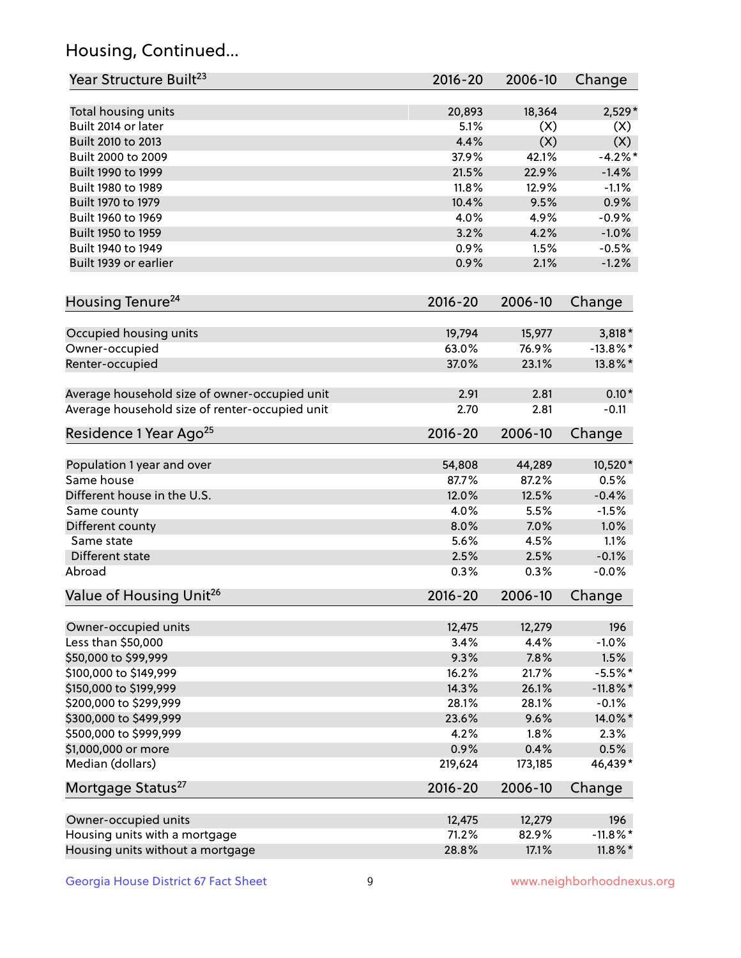## Housing, Continued...

| Year Structure Built <sup>23</sup>             | 2016-20     | 2006-10 | Change      |
|------------------------------------------------|-------------|---------|-------------|
| Total housing units                            | 20,893      | 18,364  | 2,529*      |
| Built 2014 or later                            | 5.1%        | (X)     | (X)         |
| Built 2010 to 2013                             | 4.4%        | (X)     | (X)         |
| Built 2000 to 2009                             | 37.9%       | 42.1%   | $-4.2%$     |
| Built 1990 to 1999                             | 21.5%       | 22.9%   | $-1.4%$     |
| Built 1980 to 1989                             | 11.8%       | 12.9%   | $-1.1%$     |
| Built 1970 to 1979                             | 10.4%       | 9.5%    | 0.9%        |
| Built 1960 to 1969                             | 4.0%        | 4.9%    | $-0.9%$     |
| Built 1950 to 1959                             | 3.2%        | 4.2%    | $-1.0%$     |
| Built 1940 to 1949                             | 0.9%        | 1.5%    | $-0.5%$     |
| Built 1939 or earlier                          | 0.9%        | 2.1%    | $-1.2%$     |
|                                                |             |         |             |
| Housing Tenure <sup>24</sup>                   | $2016 - 20$ | 2006-10 | Change      |
| Occupied housing units                         | 19,794      | 15,977  | $3,818*$    |
| Owner-occupied                                 | 63.0%       | 76.9%   | $-13.8\%$ * |
| Renter-occupied                                | 37.0%       | 23.1%   | 13.8%*      |
| Average household size of owner-occupied unit  | 2.91        | 2.81    | $0.10*$     |
| Average household size of renter-occupied unit | 2.70        | 2.81    | $-0.11$     |
| Residence 1 Year Ago <sup>25</sup>             | $2016 - 20$ | 2006-10 | Change      |
|                                                |             |         |             |
| Population 1 year and over                     | 54,808      | 44,289  | 10,520*     |
| Same house                                     | 87.7%       | 87.2%   | 0.5%        |
| Different house in the U.S.                    | 12.0%       | 12.5%   | $-0.4%$     |
| Same county                                    | 4.0%        | 5.5%    | $-1.5%$     |
| Different county                               | 8.0%        | 7.0%    | 1.0%        |
| Same state                                     | 5.6%        | 4.5%    | 1.1%        |
| Different state                                | 2.5%        | 2.5%    | $-0.1%$     |
| Abroad                                         | 0.3%        | 0.3%    | $-0.0%$     |
| Value of Housing Unit <sup>26</sup>            | $2016 - 20$ | 2006-10 | Change      |
| Owner-occupied units                           | 12,475      | 12,279  | 196         |
| Less than \$50,000                             | 3.4%        | 4.4%    | $-1.0%$     |
| \$50,000 to \$99,999                           | 9.3%        | 7.8%    | 1.5%        |
| \$100,000 to \$149,999                         | 16.2%       | 21.7%   | $-5.5%$ *   |
| \$150,000 to \$199,999                         | 14.3%       | 26.1%   | $-11.8\%$ * |
| \$200,000 to \$299,999                         | 28.1%       | 28.1%   | $-0.1%$     |
| \$300,000 to \$499,999                         | 23.6%       | 9.6%    | 14.0%*      |
| \$500,000 to \$999,999                         | 4.2%        | 1.8%    | 2.3%        |
| \$1,000,000 or more                            | 0.9%        | 0.4%    | 0.5%        |
| Median (dollars)                               | 219,624     | 173,185 | 46,439*     |
| Mortgage Status <sup>27</sup>                  | $2016 - 20$ | 2006-10 | Change      |
|                                                |             |         |             |
| Owner-occupied units                           | 12,475      | 12,279  | 196         |
| Housing units with a mortgage                  | 71.2%       | 82.9%   | $-11.8\%$ * |
| Housing units without a mortgage               | 28.8%       | 17.1%   | $11.8\%$ *  |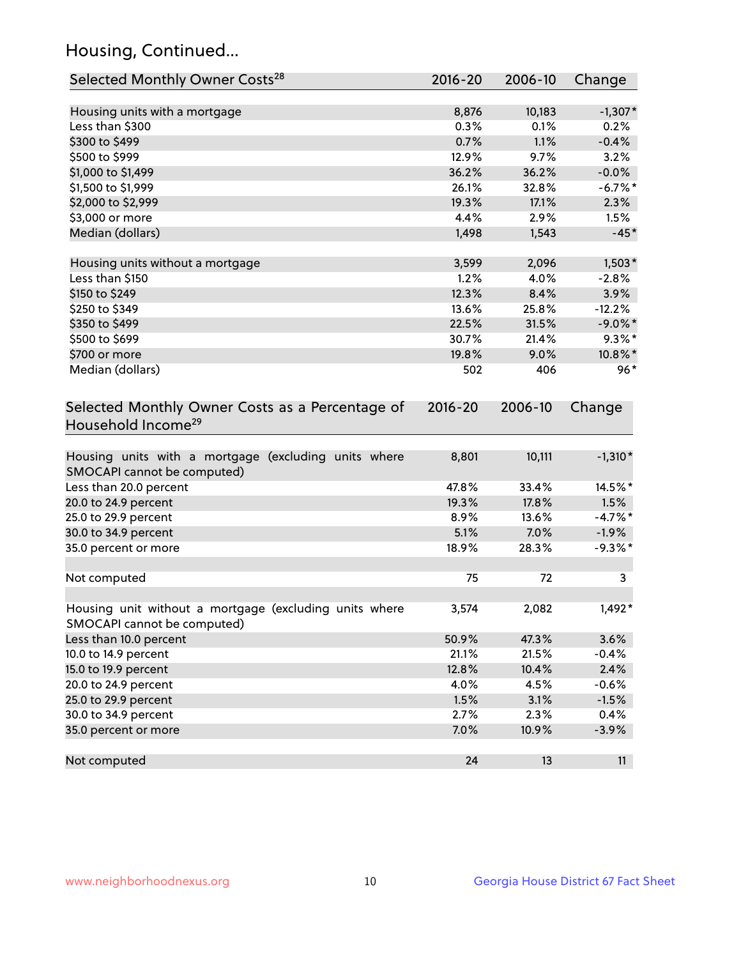## Housing, Continued...

| Selected Monthly Owner Costs <sup>28</sup>                                            | $2016 - 20$ | 2006-10 | Change     |
|---------------------------------------------------------------------------------------|-------------|---------|------------|
| Housing units with a mortgage                                                         | 8,876       | 10,183  | $-1,307*$  |
| Less than \$300                                                                       | 0.3%        | 0.1%    | 0.2%       |
| \$300 to \$499                                                                        | 0.7%        | 1.1%    | $-0.4%$    |
| \$500 to \$999                                                                        | 12.9%       | 9.7%    | 3.2%       |
| \$1,000 to \$1,499                                                                    | 36.2%       | 36.2%   | $-0.0%$    |
| \$1,500 to \$1,999                                                                    | 26.1%       | 32.8%   | $-6.7\%$ * |
| \$2,000 to \$2,999                                                                    | 19.3%       | 17.1%   | 2.3%       |
| \$3,000 or more                                                                       | 4.4%        | 2.9%    | 1.5%       |
| Median (dollars)                                                                      | 1,498       | 1,543   | $-45*$     |
| Housing units without a mortgage                                                      | 3,599       | 2,096   | $1,503*$   |
| Less than \$150                                                                       | 1.2%        | 4.0%    | $-2.8%$    |
| \$150 to \$249                                                                        | 12.3%       | 8.4%    | 3.9%       |
| \$250 to \$349                                                                        | 13.6%       | 25.8%   | $-12.2%$   |
| \$350 to \$499                                                                        | 22.5%       | 31.5%   | $-9.0\%$ * |
| \$500 to \$699                                                                        | 30.7%       | 21.4%   | $9.3\%$ *  |
| \$700 or more                                                                         | 19.8%       | 9.0%    | 10.8%*     |
| Median (dollars)                                                                      | 502         | 406     | $96*$      |
| Selected Monthly Owner Costs as a Percentage of<br>Household Income <sup>29</sup>     | $2016 - 20$ | 2006-10 | Change     |
| Housing units with a mortgage (excluding units where<br>SMOCAPI cannot be computed)   | 8,801       | 10,111  | $-1,310*$  |
| Less than 20.0 percent                                                                | 47.8%       | 33.4%   | 14.5%*     |
| 20.0 to 24.9 percent                                                                  | 19.3%       | 17.8%   | 1.5%       |
| 25.0 to 29.9 percent                                                                  | 8.9%        | 13.6%   | $-4.7\%$ * |
| 30.0 to 34.9 percent                                                                  | 5.1%        | 7.0%    | $-1.9%$    |
| 35.0 percent or more                                                                  | 18.9%       | 28.3%   | $-9.3%$ *  |
| Not computed                                                                          | 75          | 72      | 3          |
| Housing unit without a mortgage (excluding units where<br>SMOCAPI cannot be computed) | 3,574       | 2,082   | $1,492*$   |
| Less than 10.0 percent                                                                | 50.9%       | 47.3%   | 3.6%       |
| 10.0 to 14.9 percent                                                                  | 21.1%       | 21.5%   | $-0.4%$    |
| 15.0 to 19.9 percent                                                                  | 12.8%       | 10.4%   | 2.4%       |
| 20.0 to 24.9 percent                                                                  | 4.0%        | 4.5%    | $-0.6%$    |
| 25.0 to 29.9 percent                                                                  | 1.5%        | 3.1%    | $-1.5%$    |
| 30.0 to 34.9 percent                                                                  | 2.7%        | 2.3%    | 0.4%       |
| 35.0 percent or more                                                                  | 7.0%        | 10.9%   | $-3.9%$    |
| Not computed                                                                          | 24          | 13      | 11         |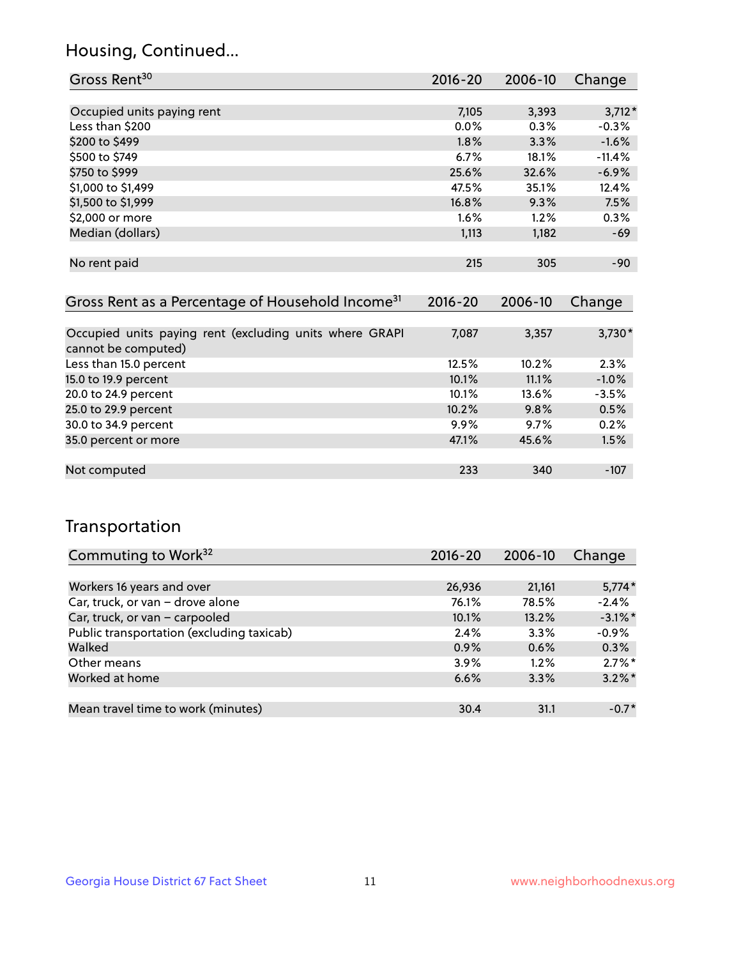## Housing, Continued...

| Gross Rent <sup>30</sup>   | 2016-20 | 2006-10 | Change   |
|----------------------------|---------|---------|----------|
|                            |         |         |          |
| Occupied units paying rent | 7,105   | 3,393   | $3,712*$ |
| Less than \$200            | $0.0\%$ | 0.3%    | $-0.3%$  |
| \$200 to \$499             | 1.8%    | 3.3%    | $-1.6%$  |
| \$500 to \$749             | 6.7%    | 18.1%   | $-11.4%$ |
| \$750 to \$999             | 25.6%   | 32.6%   | $-6.9%$  |
| \$1,000 to \$1,499         | 47.5%   | 35.1%   | 12.4%    |
| \$1,500 to \$1,999         | 16.8%   | 9.3%    | 7.5%     |
| \$2,000 or more            | $1.6\%$ | 1.2%    | 0.3%     |
| Median (dollars)           | 1,113   | 1,182   | $-69$    |
|                            |         |         |          |
| No rent paid               | 215     | 305     | $-90$    |
|                            |         |         |          |

| Gross Rent as a Percentage of Household Income <sup>31</sup>                   | $2016 - 20$ | 2006-10 | Change   |
|--------------------------------------------------------------------------------|-------------|---------|----------|
|                                                                                |             |         |          |
| Occupied units paying rent (excluding units where GRAPI<br>cannot be computed) | 7,087       | 3,357   | $3,730*$ |
| Less than 15.0 percent                                                         | 12.5%       | 10.2%   | 2.3%     |
| 15.0 to 19.9 percent                                                           | 10.1%       | 11.1%   | $-1.0%$  |
| 20.0 to 24.9 percent                                                           | 10.1%       | 13.6%   | $-3.5%$  |
| 25.0 to 29.9 percent                                                           | 10.2%       | 9.8%    | 0.5%     |
| 30.0 to 34.9 percent                                                           | $9.9\%$     | 9.7%    | 0.2%     |
| 35.0 percent or more                                                           | 47.1%       | 45.6%   | 1.5%     |
|                                                                                |             |         |          |
| Not computed                                                                   | 233         | 340     | $-107$   |

## Transportation

| Commuting to Work <sup>32</sup>           | 2016-20 | 2006-10 | Change     |
|-------------------------------------------|---------|---------|------------|
|                                           |         |         |            |
| Workers 16 years and over                 | 26,936  | 21,161  | $5,774*$   |
| Car, truck, or van - drove alone          | 76.1%   | 78.5%   | $-2.4%$    |
| Car, truck, or van - carpooled            | 10.1%   | 13.2%   | $-3.1\%$ * |
| Public transportation (excluding taxicab) | 2.4%    | 3.3%    | $-0.9%$    |
| Walked                                    | 0.9%    | 0.6%    | 0.3%       |
| Other means                               | 3.9%    | 1.2%    | $2.7\%$ *  |
| Worked at home                            | 6.6%    | 3.3%    | $3.2\%$ *  |
|                                           |         |         |            |
| Mean travel time to work (minutes)        | 30.4    | 31.1    | $-0.7*$    |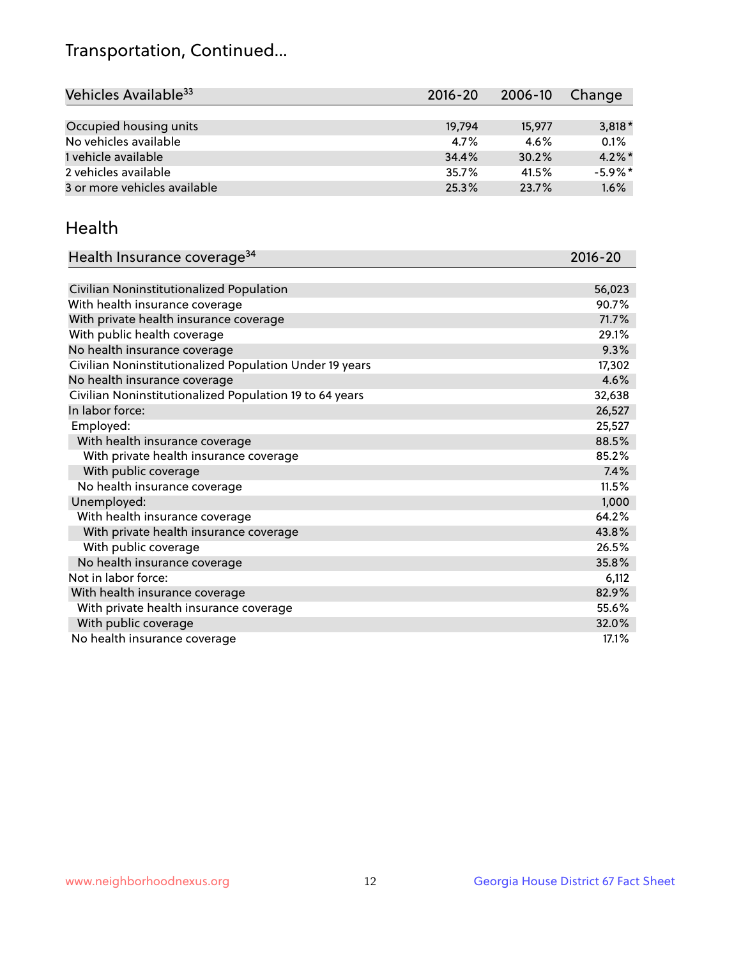## Transportation, Continued...

| Vehicles Available <sup>33</sup> | $2016 - 20$ | 2006-10 | Change     |
|----------------------------------|-------------|---------|------------|
|                                  |             |         |            |
| Occupied housing units           | 19,794      | 15,977  | $3,818*$   |
| No vehicles available            | 4.7%        | 4.6%    | 0.1%       |
| 1 vehicle available              | 34.4%       | 30.2%   | $4.2\%$ *  |
| 2 vehicles available             | 35.7%       | 41.5%   | $-5.9\%$ * |
| 3 or more vehicles available     | 25.3%       | 23.7%   | 1.6%       |

#### Health

| Health Insurance coverage <sup>34</sup>                 | 2016-20 |
|---------------------------------------------------------|---------|
|                                                         |         |
| Civilian Noninstitutionalized Population                | 56,023  |
| With health insurance coverage                          | 90.7%   |
| With private health insurance coverage                  | 71.7%   |
| With public health coverage                             | 29.1%   |
| No health insurance coverage                            | 9.3%    |
| Civilian Noninstitutionalized Population Under 19 years | 17,302  |
| No health insurance coverage                            | 4.6%    |
| Civilian Noninstitutionalized Population 19 to 64 years | 32,638  |
| In labor force:                                         | 26,527  |
| Employed:                                               | 25,527  |
| With health insurance coverage                          | 88.5%   |
| With private health insurance coverage                  | 85.2%   |
| With public coverage                                    | 7.4%    |
| No health insurance coverage                            | 11.5%   |
| Unemployed:                                             | 1,000   |
| With health insurance coverage                          | 64.2%   |
| With private health insurance coverage                  | 43.8%   |
| With public coverage                                    | 26.5%   |
| No health insurance coverage                            | 35.8%   |
| Not in labor force:                                     | 6,112   |
| With health insurance coverage                          | 82.9%   |
| With private health insurance coverage                  | 55.6%   |
| With public coverage                                    | 32.0%   |
| No health insurance coverage                            | 17.1%   |